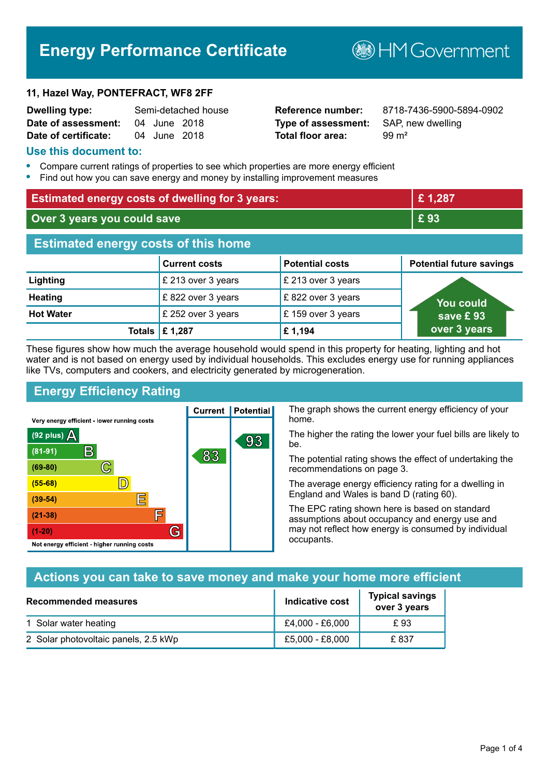# **Energy Performance Certificate**

#### **11, Hazel Way, PONTEFRACT, WF8 2FF**

| <b>Dwelling type:</b> |              | Semi-detached house |
|-----------------------|--------------|---------------------|
| Date of assessment:   | 04 June 2018 |                     |
| Date of certificate:  | 04 June 2018 |                     |

# **Type of assessment:** SAP, new dwelling **Total floor area:** 99 m<sup>2</sup>

**Dwelling type:** Semi-detached house **Reference number:** 8718-7436-5900-5894-0902

**B**HMGovernment

#### **Use this document to:**

- **•** Compare current ratings of properties to see which properties are more energy efficient
- **•** Find out how you can save energy and money by installing improvement measures

| <b>Estimated energy costs of dwelling for 3 years:</b> |                           |                        | £1,287                          |
|--------------------------------------------------------|---------------------------|------------------------|---------------------------------|
| Over 3 years you could save                            |                           | £93                    |                                 |
| <b>Estimated energy costs of this home</b>             |                           |                        |                                 |
|                                                        | <b>Current costs</b>      | <b>Potential costs</b> | <b>Potential future savings</b> |
| Lighting                                               | £ 213 over 3 years        | £ 213 over 3 years     |                                 |
| <b>Heating</b>                                         | £822 over 3 years         | £822 over 3 years      | <u>You could</u>                |
| <b>Hot Water</b>                                       | £ 252 over 3 years        | £159 over 3 years      | save £93                        |
|                                                        | Totals $\mathsf{E}$ 1,287 | £1,194                 | over 3 years                    |

These figures show how much the average household would spend in this property for heating, lighting and hot water and is not based on energy used by individual households. This excludes energy use for running appliances like TVs, computers and cookers, and electricity generated by microgeneration.

# **Energy Efficiency Rating**

 $\mathbb{C}$ 

 $\mathbb{D}$ 

巨

庐

G

Very energy efficient - lower running costs

 $\mathsf B$ 

Not energy efficient - higher running costs

(92 plus)  $\Delta$ 

 $(81 - 91)$ 

 $(69 - 80)$ 

 $(55-68)$  $(39-54)$ 

 $(21-38)$ 

 $(1-20)$ 

The graph shows the current energy efficiency of your home.

The higher the rating the lower your fuel bills are likely to be.

The potential rating shows the effect of undertaking the recommendations on page 3.

The average energy efficiency rating for a dwelling in England and Wales is band D (rating 60).

The EPC rating shown here is based on standard assumptions about occupancy and energy use and may not reflect how energy is consumed by individual occupants.

# **Actions you can take to save money and make your home more efficient**

| Recommended measures                 | Indicative cost | <b>Typical savings</b><br>over 3 years |
|--------------------------------------|-----------------|----------------------------------------|
| 1 Solar water heating                | £4,000 - £6,000 | £93                                    |
| 2 Solar photovoltaic panels, 2.5 kWp | £5,000 - £8,000 | £837                                   |

**Current | Potential** 

83

93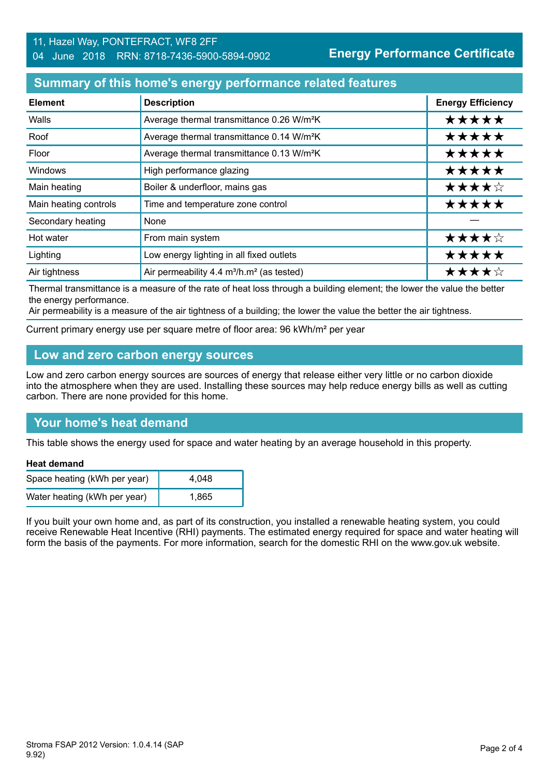#### 11, Hazel Way, PONTEFRACT, WF8 2FF 04 June 2018 RRN: 8718-7436-5900-5894-0902

**Energy Performance Certificate**

# **Summary of this home's energy performance related features**

| <b>Element</b>        | <b>Description</b>                                                | <b>Energy Efficiency</b> |
|-----------------------|-------------------------------------------------------------------|--------------------------|
| Walls                 | Average thermal transmittance 0.26 W/m <sup>2</sup> K             | *****                    |
| Roof                  | Average thermal transmittance 0.14 W/m <sup>2</sup> K             | *****                    |
| Floor                 | Average thermal transmittance 0.13 W/m <sup>2</sup> K             | *****                    |
| <b>Windows</b>        | High performance glazing                                          | *****                    |
| Main heating          | Boiler & underfloor, mains gas                                    | ★★★★☆                    |
| Main heating controls | Time and temperature zone control                                 | *****                    |
| Secondary heating     | None                                                              |                          |
| Hot water             | From main system                                                  | ★★★★☆                    |
| Lighting              | Low energy lighting in all fixed outlets                          | *****                    |
| Air tightness         | Air permeability 4.4 m <sup>3</sup> /h.m <sup>2</sup> (as tested) | ★★★★☆                    |

Thermal transmittance is a measure of the rate of heat loss through a building element; the lower the value the better the energy performance.

Air permeability is a measure of the air tightness of a building; the lower the value the better the air tightness.

Current primary energy use per square metre of floor area: 96 kWh/m² per year

# **Low and zero carbon energy sources**

Low and zero carbon energy sources are sources of energy that release either very little or no carbon dioxide into the atmosphere when they are used. Installing these sources may help reduce energy bills as well as cutting carbon. There are none provided for this home.

# **Your home's heat demand**

This table shows the energy used for space and water heating by an average household in this property.

#### **Heat demand**

| Space heating (kWh per year) | 4.048 |
|------------------------------|-------|
| Water heating (kWh per year) | 1.865 |

If you built your own home and, as part of its construction, you installed a renewable heating system, you could receive Renewable Heat Incentive (RHI) payments. The estimated energy required for space and water heating will form the basis of the payments. For more information, search for the domestic RHI on the www.gov.uk website.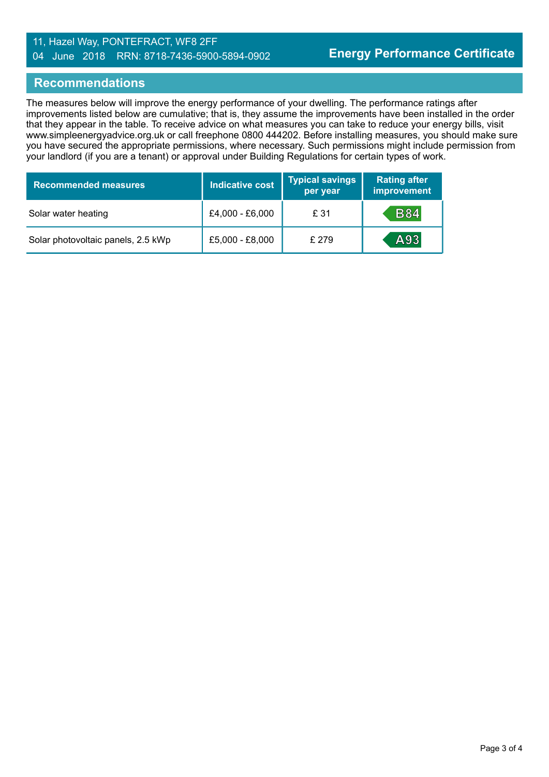#### 11, Hazel Way, PONTEFRACT, WF8 2FF 04 June 2018 RRN: 8718-7436-5900-5894-0902

#### **Recommendations**

The measures below will improve the energy performance of your dwelling. The performance ratings after improvements listed below are cumulative; that is, they assume the improvements have been installed in the order that they appear in the table. To receive advice on what measures you can take to reduce your energy bills, visit www.simpleenergyadvice.org.uk or call freephone 0800 444202. Before installing measures, you should make sure you have secured the appropriate permissions, where necessary. Such permissions might include permission from your landlord (if you are a tenant) or approval under Building Regulations for certain types of work.

| <b>Recommended measures</b>        | <b>Indicative cost</b> | <b>Typical savings</b><br>per year | <b>Rating after</b><br>improvement |
|------------------------------------|------------------------|------------------------------------|------------------------------------|
| Solar water heating                | £4,000 - £6,000        | £ 31                               | <b>B84</b>                         |
| Solar photovoltaic panels, 2.5 kWp | £5,000 - £8,000        | £279                               | A93                                |